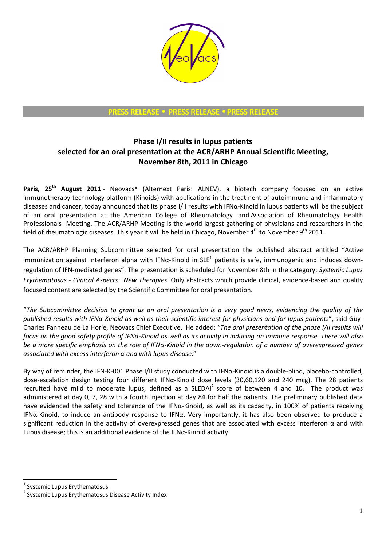

**PRESS RELEASE** • **PRESS RELEASE** • **PRESS RELEASE** 

## **Phase I/II results in lupus patients selected for an oral presentation at the ACR/ARHP Annual Scientific Meeting, November 8th, 2011 in Chicago**

**Paris, 25th August 2011** - Neovacs® (Alternext Paris: ALNEV), a biotech company focused on an active immunotherapy technology platform (Kinoids) with applications in the treatment of autoimmune and inflammatory diseases and cancer, today announced that its phase I/II results with IFNα-Kinoid in lupus patients will be the subject of an oral presentation at the American College of Rheumatology and Association of Rheumatology Health Professionals Meeting. The ACR/ARHP Meeting is the world largest gathering of physicians and researchers in the field of rheumatologic diseases. This year it will be held in Chicago, November  $4^{th}$  to November  $9^{th}$  2011.

The ACR/ARHP Planning Subcommittee selected for oral presentation the published abstract entitled "Active immunization against Interferon alpha with IFN $\alpha$ -Kinoid in SLE<sup>1</sup> patients is safe, immunogenic and induces downregulation of IFN-mediated genes". The presentation is scheduled for November 8th in the category: *Systemic Lupus Erythematosus - Clinical Aspects: New Therapies.* Only abstracts which provide clinical, evidence-based and quality focused content are selected by the Scientific Committee for oral presentation.

"*The Subcommittee decision to grant us an oral presentation is a very good news, evidencing the quality of the published results with IFNα-Kinoid as well as their scientific interest for physicians and for lupus patients*", said Guy-Charles Fanneau de La Horie, Neovacs Chief Executive. He added: *"The oral presentation of the phase I/II results will focus on the good safety profile of IFNα-Kinoid as well as its activity in inducing an immune response. There will also be a more specific emphasis on the role of IFNα-Kinoid in the down-regulation of a number of overexpressed genes associated with excess interferon α and with lupus disease*."

By way of reminder, the IFN-K-001 Phase I/II study conducted with IFNα-Kinoid is a double-blind, placebo-controlled, dose-escalation design testing four different IFNα-Kinoid dose levels (30,60,120 and 240 mcg). The 28 patients recruited have mild to moderate lupus, defined as a SLEDAI<sup>2</sup> score of between 4 and 10. The product was administered at day 0, 7, 28 with a fourth injection at day 84 for half the patients. The preliminary published data have evidenced the safety and tolerance of the IFNα-Kinoid, as well as its capacity, in 100% of patients receiving IFNα-Kinoid, to induce an antibody response to IFNα. Very importantly, it has also been observed to produce a significant reduction in the activity of overexpressed genes that are associated with excess interferon  $\alpha$  and with Lupus disease; this is an additional evidence of the IFN $\alpha$ -Kinoid activity.

 $\overline{a}$ 

<sup>&</sup>lt;sup>1</sup> Systemic Lupus Erythematosus

<sup>&</sup>lt;sup>2</sup> Systemic Lupus Erythematosus Disease Activity Index